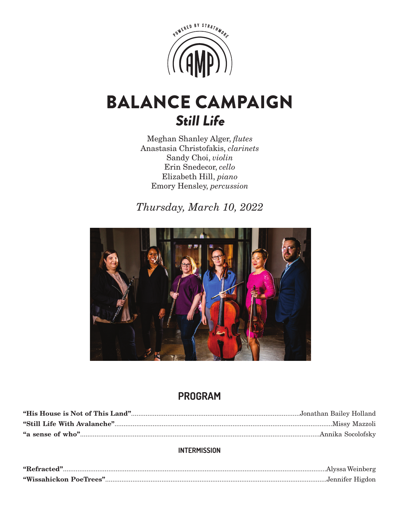

# BALANCE CAMPAIGN Still Life

Meghan Shanley Alger, *flutes* Anastasia Christofakis, *clarinets* Sandy Choi, *violin* Erin Snedecor, *cello* Elizabeth Hill, *piano* Emory Hensley, *percussion* 

*Thursday, March 10, 2022*



# **PROGRAM**

## **INTERMISSION**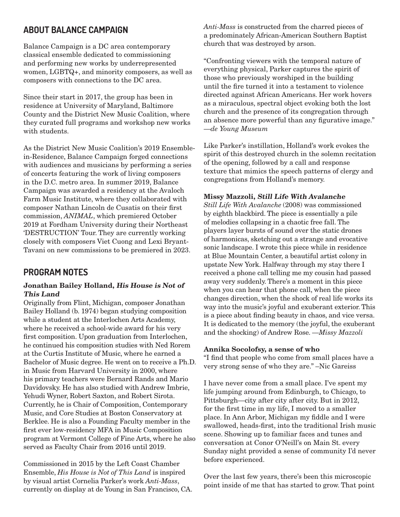# **ABOUT BALANCE CAMPAIGN**

Balance Campaign is a DC area contemporary classical ensemble dedicated to commissioning and performing new works by underrepresented women, LGBTQ+, and minority composers, as well as composers with connections to the DC area.

Since their start in 2017, the group has been in residence at University of Maryland, Baltimore County and the District New Music Coalition, where they curated full programs and workshop new works with students.

As the District New Music Coalition's 2019 Ensemblein-Residence, Balance Campaign forged connections with audiences and musicians by performing a series of concerts featuring the work of living composers in the D.C. metro area. In summer 2019, Balance Campaign was awarded a residency at the Avaloch Farm Music Institute, where they collaborated with composer Nathan Lincoln de Cusatis on their first commission, *ANIMAL*, which premiered October 2019 at Fordham University during their Northeast 'DESTRUCTION' Tour. They are currently working closely with composers Viet Cuong and Lexi Bryant-Tavani on new commissions to be premiered in 2023.

## **PROGRAM NOTES**

#### **Jonathan Bailey Holland, His House is Not of This Land**

Originally from Flint, Michigan, composer Jonathan Bailey Holland (b. 1974) began studying composition while a student at the Interlochen Arts Academy, where he received a school-wide award for his very first composition. Upon graduation from Interlochen, he continued his composition studies with Ned Rorem at the Curtis Institute of Music, where he earned a Bachelor of Music degree. He went on to receive a Ph.D. in Music from Harvard University in 2000, where his primary teachers were Bernard Rands and Mario Davidovsky. He has also studied with Andrew Imbrie, Yehudi Wyner, Robert Saxton, and Robert Sirota. Currently, he is Chair of Composition, Contemporary Music, and Core Studies at Boston Conservatory at Berklee. He is also a Founding Faculty member in the first ever low-residency MFA in Music Composition program at Vermont College of Fine Arts, where he also served as Faculty Chair from 2016 until 2019.

Commissioned in 2015 by the Left Coast Chamber Ensemble, *His House is Not of This Land* is inspired by visual artist Cornelia Parker's work *Anti-Mass*, currently on display at de Young in San Francisco, CA. *Anti-Mass* is constructed from the charred pieces of a predominately African-American Southern Baptist church that was destroyed by arson.

"Confronting viewers with the temporal nature of everything physical, Parker captures the spirit of those who previously worshiped in the building until the fire turned it into a testament to violence directed against African Americans. Her work hovers as a miraculous, spectral object evoking both the lost church and the presence of its congregation through an absence more powerful than any figurative image." —*de Young Museum*

Like Parker's instillation, Holland's work evokes the spirit of this destroyed church in the solemn recitation of the opening, followed by a call and response texture that mimics the speech patterns of clergy and congregations from Holland's memory.

#### **Missy Mazzoli, Still Life With Avalanche**

*Still Life With Avalanche* (2008) was commissioned by eighth blackbird. The piece is essentially a pile of melodies collapsing in a chaotic free fall. The players layer bursts of sound over the static drones of harmonicas, sketching out a strange and evocative sonic landscape. I wrote this piece while in residence at Blue Mountain Center, a beautiful artist colony in upstate New York. Halfway through my stay there I received a phone call telling me my cousin had passed away very suddenly. There's a moment in this piece when you can hear that phone call, when the piece changes direction, when the shock of real life works its way into the music's joyful and exuberant exterior. This is a piece about finding beauty in chaos, and vice versa. It is dedicated to the memory (the joyful, the exuberant and the shocking) of Andrew Rose. —*Missy Mazzoli*

#### **Annika Socolofsy, a sense of who**

"I find that people who come from small places have a very strong sense of who they are." –Nic Gareiss

I have never come from a small place. I've spent my life jumping around from Edinburgh, to Chicago, to Pittsburgh—city after city after city. But in 2012, for the first time in my life, I moved to a smaller place. In Ann Arbor, Michigan my fiddle and I were swallowed, heads-first, into the traditional Irish music scene. Showing up to familiar faces and tunes and conversation at Conor O'Neill's on Main St. every Sunday night provided a sense of community I'd never before experienced.

Over the last few years, there's been this microscopic point inside of me that has started to grow. That point